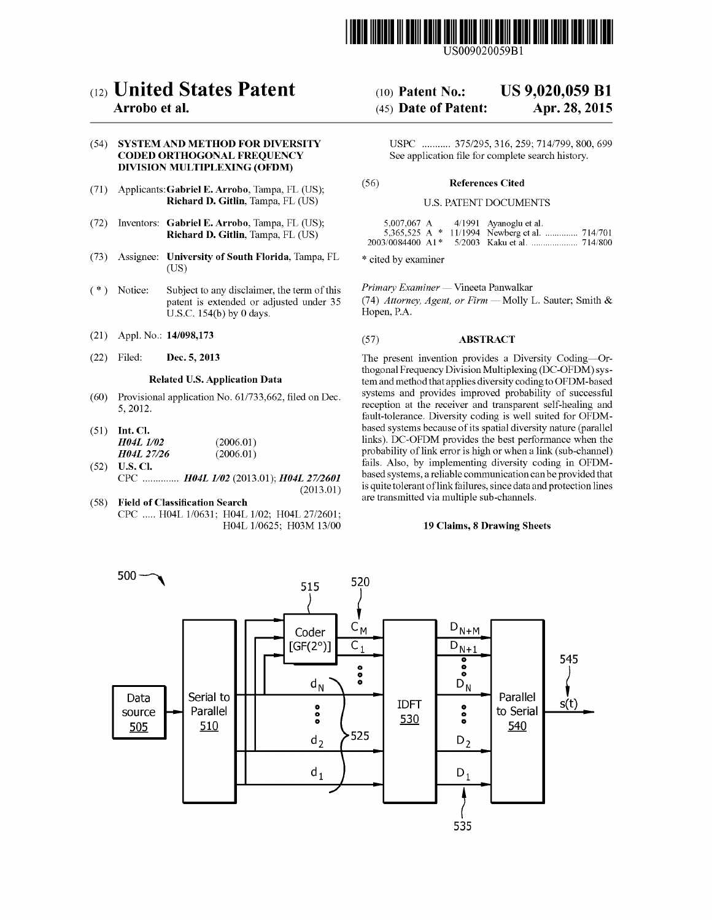

US009020059B1

# (12) **United States Patent**

# Arrobo et al.

# (54) SYSTEM AND METHOD FOR DIVERSITY CODED ORTHOGONAL FREQUENCY DIVISION MULTIPLEXING (OFDM)

- (71) Applicants: Gabriel E. Arrobo, Tampa, FL (US); Richard D. Gitlin, Tampa, FL (US)
- (72) Inventors: Gabriel E. Arrobo, Tampa, FL (US); Richard D. Gitlin, Tampa, FL (US)
- (73) Assignee: **University of South Florida**, Tampa, FL  $*$  cited by examiner (US)
- (\*) Notice: Subject to any disclaimer, the term of this *Primary Examiner* Vineeta Panwalkar patent is extended or adjusted under 35 U.S.c. 154(b) by 0 days.
- 
- (22) Dec. 5, 2013

#### Related U.S. Application Data

- (60) Provisional application No. *611733,662,* filed on Dec. 5,2012.
- (2006.01) (2006.01) (51) Int. Cl. *H04L 1/02 H04L27/26*
- (52) U.S. Cl. CPC *H04L 1/02* (2013.01); *H04L 27/2601* (2013.01)
- (58) Field of Classification Search CPC ..... H04L 1/0631; H04L 1/02; H04L 27/2601; H04L 1/0625; H03M 13/00

#### (10) Patent No.: US 9,020,059 **Bl**

#### (45) Date of Patent: Apr. 28, 2015

USPC 375/295,316,259; *7141799,* 800, 699 See application file for complete search history.

# (56) References Cited

#### U.S. PATENT DOCUMENTS

| 5.007.067 A                    | $4/1991$ Ayanoglu et al.                        |  |
|--------------------------------|-------------------------------------------------|--|
|                                | 5,365,525 A $*$ 11/1994 Newberg et al.  714/701 |  |
| $2003/0084400$ A1 <sup>*</sup> |                                                 |  |

*(74) Attorney, Agent, or Firm* - Molly L. Sauter; Smith & Hopen, P.A.

# (21) Appl. No.: 14/098,173 (57) ABSTRACT

The present invention provides a Diversity Coding-Orthogonal Frequency Division Multiplexing (DC-OFDM) system and method that applies diversity coding to OFDM-based systems and provides improved probability of successful reception at the receiver and transparent self-healing and fault-tolerance. Diversity coding is well suited for OFDMbased systems because of its spatial diversity nature (parallel links). DC-OFDM provides the best performance when the probability of link error is high or when a link (sub-channel) fails. Also, by implementing diversity coding in OFDMbased systems, a reliable communication can be provided that is quite tolerant oflink failures, since data and protection lines are transmitted via multiple sub-channels.

#### 19 Claims, 8 Drawing Sheets

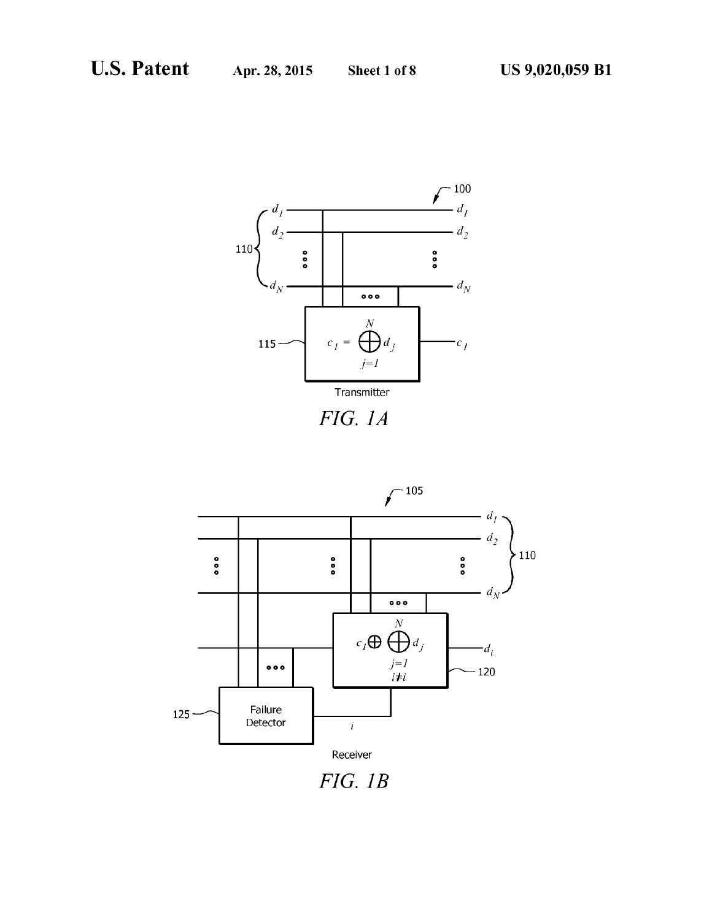



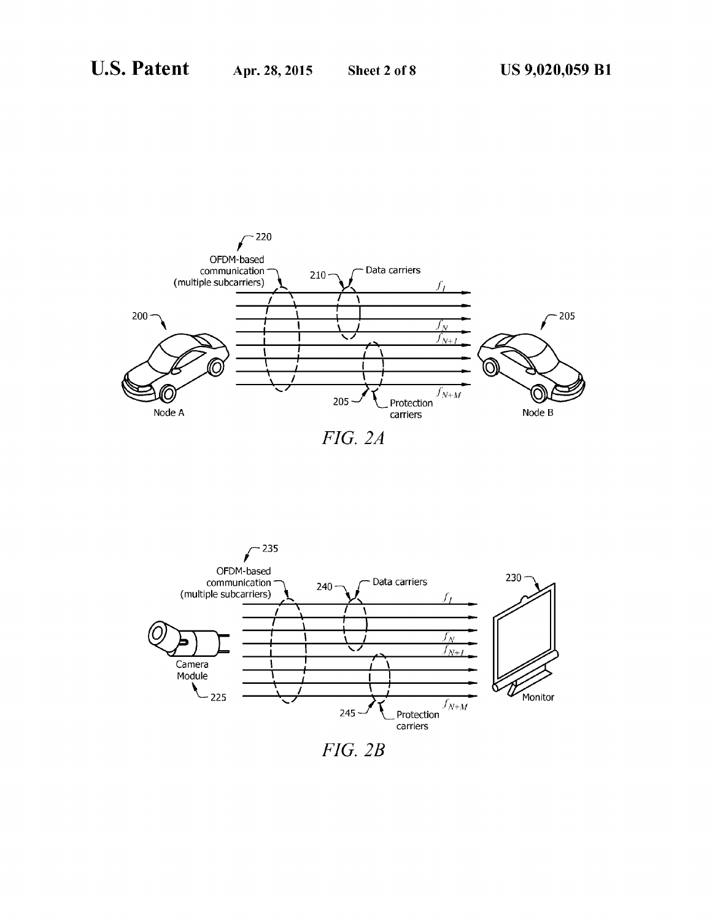



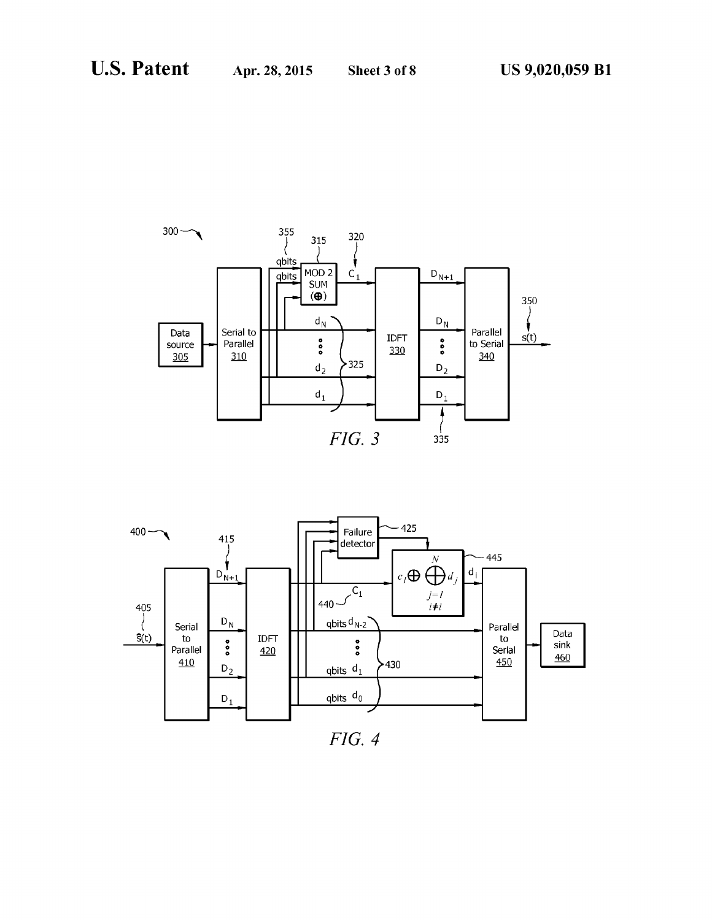



*FIG.* 4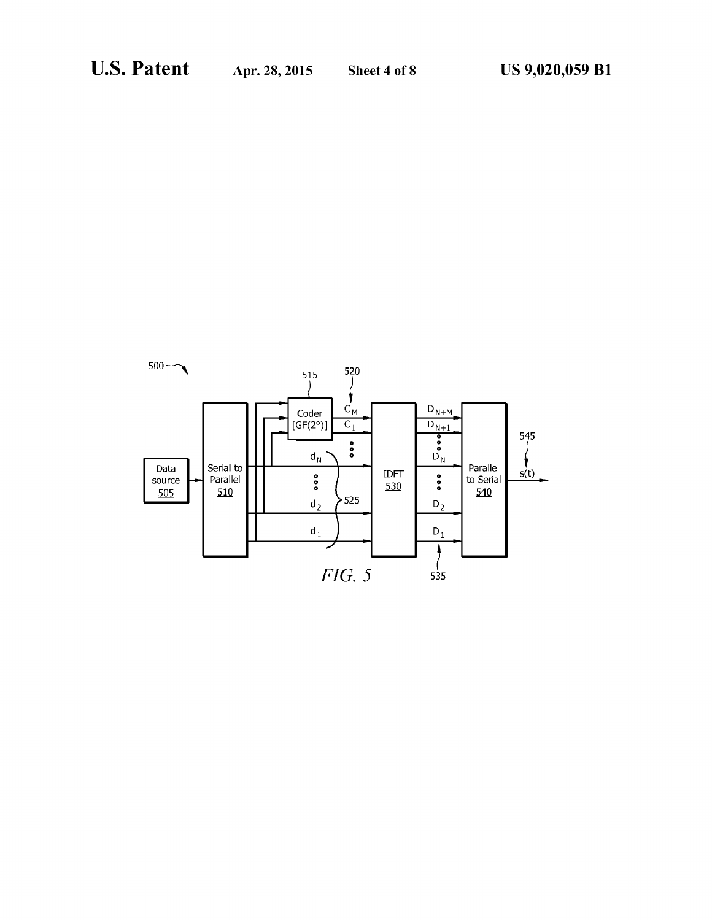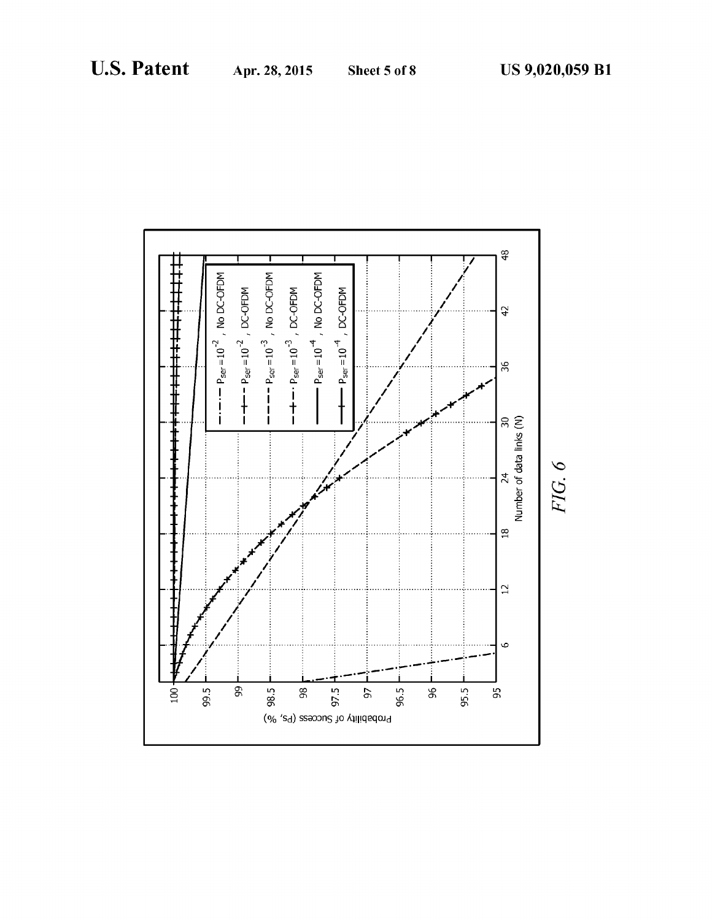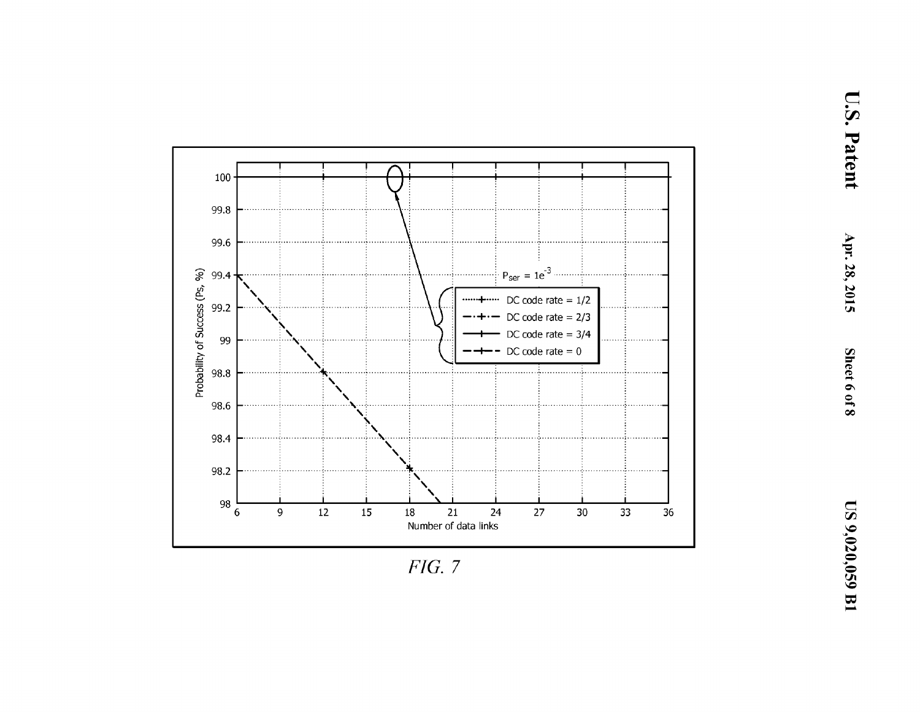

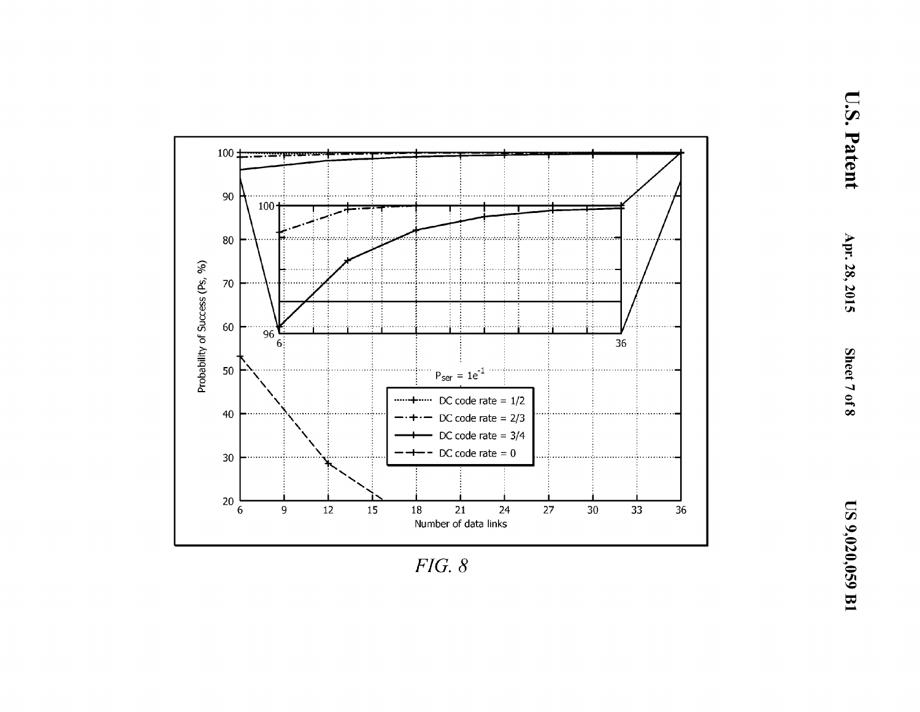

 $FIG. 8$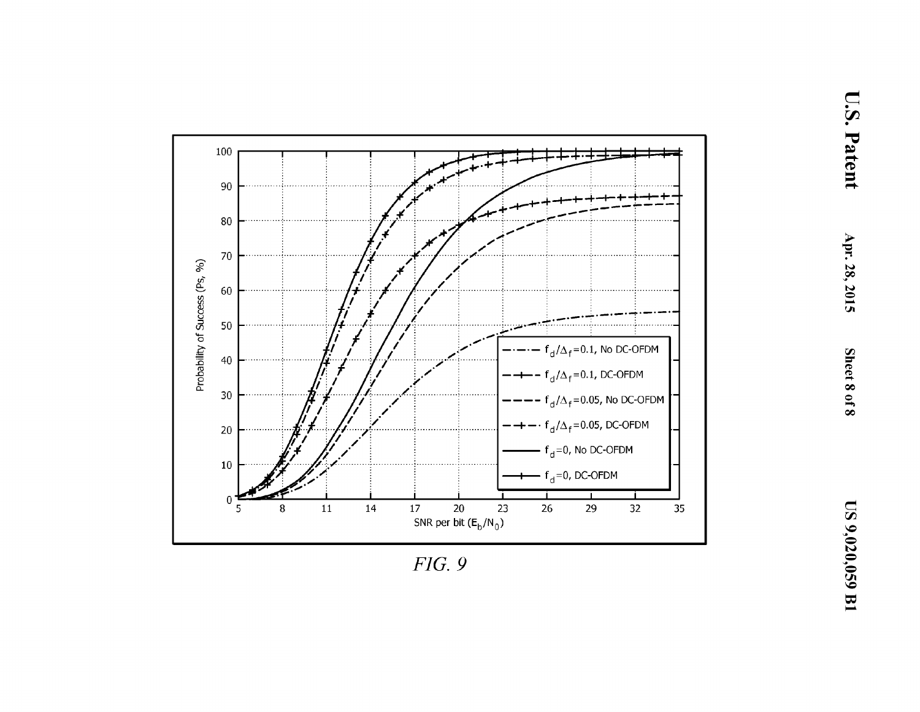

 $FIG. 9$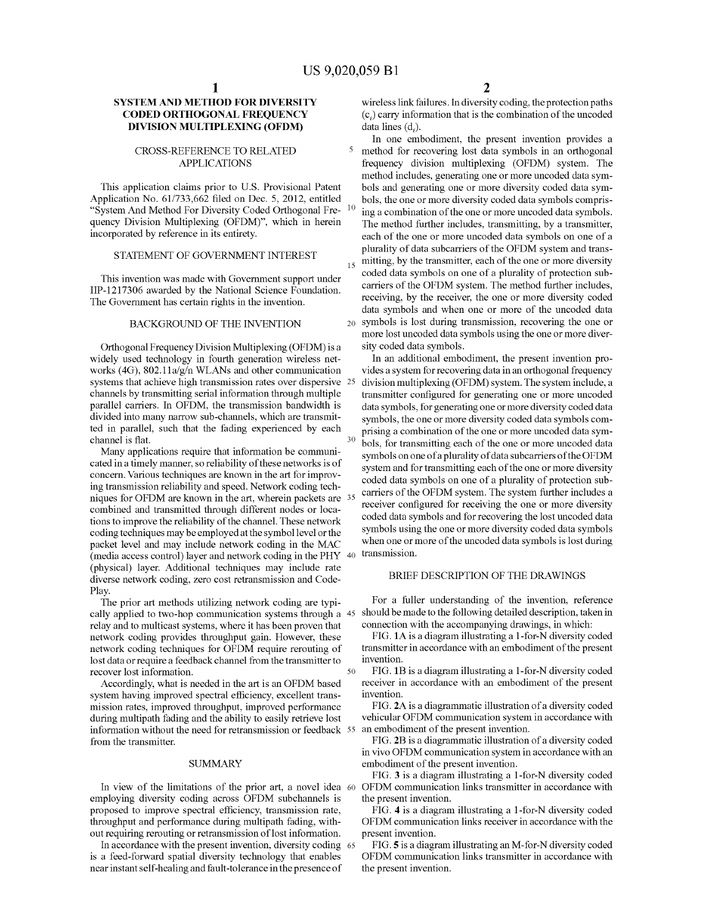# **SYSTEM AND METHOD FOR DIVERSITY** CODED ORTHOGONAL FREQUENCY **DIVISION MULTIPLEXING (OFDM)**

#### CROSS-REFERENCE TO RELATED APPLICATIONS

This application claims prior to U.S. Provisional Patent Application No. 61/733,662 filed on Dec. 5, 2012, entitled "System And Method For Diversity Coded Orthogonal Fre- $10$ quency Division Multiplexing (OFDM)", which in herein incorporated by reference in its entirety.

# STATEMENT OF GOVERNMENT INTEREST

This invention was made with Govemment support under IIP-1217306 awarded by the National Science Foundation. The Govemment has certain rights in the invention.

#### BACKGROUND OF THE INVENTION

Orthogonal Frequency Division Multiplexing (OFDM) is a widely used technology in fourth generation wireless networks (4G), 802.11a/g/n WLANs and other communication systems that achieve high transmission rates over dispersive 25 channels by transmitting serial information through multiple parallel carriers. In OFDM, the transmission bandwidth is divided into many narrow sub-channels, which are transmitted in parallel, such that the fading experienced by each channel is flat.

(media access control) layer and network coding in the PHY  $40$  transmission. Many applications require that information be communicated in a timely manner, so reliability of these networks is of concern. Various techniques are known in the art for improving transmission reliability and speed. Network coding techniques for OFDM are known in the art, wherein packets are combined and transmitted through different nodes or locations to improve the reliability of the channel. These network coding techniques may be employed at the symbol level or the packet level and may include network coding in the MAC (physical) layer. Additional techniques may include rate diverse network coding, zero cost retransmission and Code-Play.

50 The prior art methods utilizing network coding are typically applied to two-hop communication systems through a 45 relay and to multicast systems, where it has been proven that network coding provides throughput gain. However, these network coding techniques for OFDM require rerouting of lost data or require a feedback channel from the transmitter to recover lost information.

information without the need for retransmission or feedback 55 an embodiment of the present invention. Accordingly, what is needed in the art is an OFDM based system having improved spectral efficiency, excellent transmission rates, improved throughput, improved performance during multipath fading and the ability to easily retrieve lost from the transmitter.

#### SUMMARY

In view of the limitations of the prior art, a novel idea 60 employing diversity coding across OFDM subchannels is proposed to improve spectral efficiency, transmission rate, throughput and performance during multipath fading, without requiring rerouting or retransmission of lost information.

In accordance with the present invention, diversity coding 65 is a feed-forward spatial diversity technology that enables near instant self-healing and fault-tolerance in the presence of

wireless link failures. In diversity coding, the protection paths  $(c_i)$  carry information that is the combination of the uncoded data lines (d,).

In one embodiment, the present invention provides a method for recovering lost data symbols in an orthogonal frequency division multiplexing (OFDM) system. The method includes, generating one or more uncoded data symbols and generating one or more diversity coded data symbols, the one or more diversity coded data symbols comprising a combination of the one or more uncoded data symbols. The method further includes, transmitting, by a transmitter, each of the one or more uncoded data symbols on one of a plurality of data subcarriers of the OFDM system and transmitting, by the transmitter, each of the one or more diversity coded data symbols on one of a plurality of protection subcarriers of the OFDM system. The method further includes, receiving, by the receiver, the one or more diversity coded data symbols and when one or more of the uncoded data 20 symbols is lost during transmission, recovering the one or more lost uncoded data symbols using the one or more diversity coded data symbols.

In an additional embodiment, the present invention provides a system for recovering data in an orthogonal frequency division multiplexing (OFDM) system. The system include, a transmitter configured for generating one or more uncoded data symbols, for generating one or more diversity coded data symbols, the one or more diversity coded data symbols comprising a combination of the one or more uncoded data symbols, for transmitting each of the one or more uncoded data symbols on one of a plurality of data subcarriers of the OFDM system and for transmitting each of the one or more diversity coded data symbols on one of a plurality of protection subcarriers of the OFDM system. The system further includes a receiver configured for receiving the one or more diversity coded data symbols and for recovering the lost uncoded data symbols using the one or more diversity coded data symbols when one or more of the uncoded data symbols is lost during

## BRIEF DESCRIPTION OF THE DRAWINGS

For a fuller understanding of the invention, reference should be made to the following detailed description, taken in connection with the accompanying drawings, in which:

FIG.IA is a diagram illustrating a I-for-N diversity coded transmitter in accordance with an embodiment of the present invention.

FIG.IB is a diagram illustrating a I-for-N diversity coded receiver in accordance with an embodiment of the present invention.

FIG. **2A** is a diagrammatic illustration of a diversity coded vehicular OFDM communication system in accordance with

FIG. 2B is a diagrammatic illustration of a diversity coded in vivo OFDM communication system in accordance with an embodiment of the present invention.

FIG. 3 is a diagram illustrating a I-for-N diversity coded OFDM communication links transmitter in accordance with the present invention.

FIG. 4 is a diagram illustrating a I-for-N diversity coded OFDM communication links receiver in accordance with the present invention.

FIG. 5 is a diagram illustrating an M-for-N diversity coded OFDM communication links transmitter in accordance with the present invention.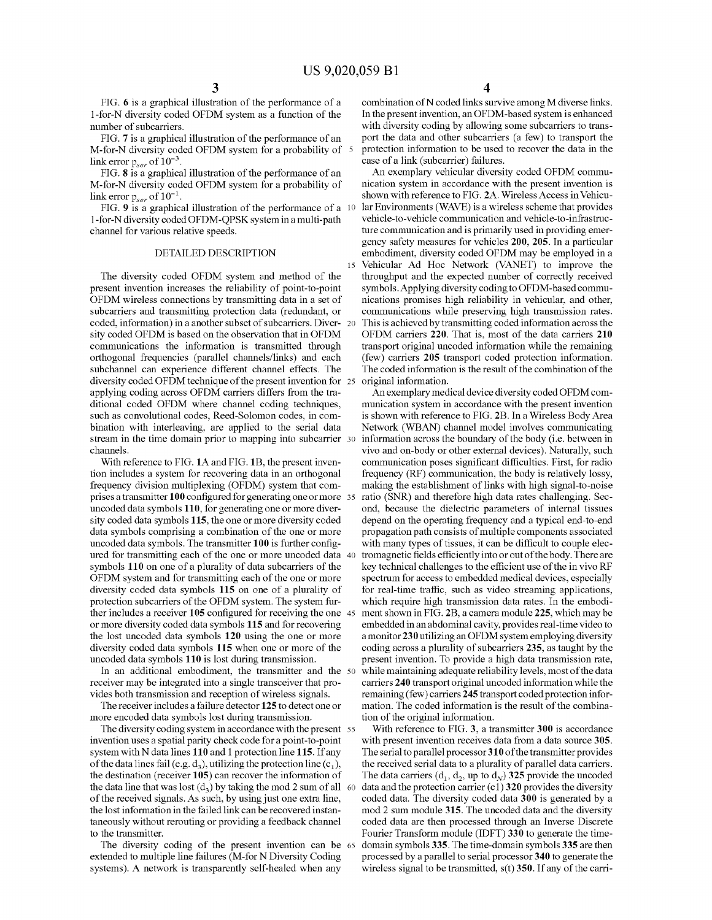FIG. 6 is a graphical illustration of the performance of a I-for-N diversity coded OFDM system as a function of the number of subcarriers.

FIG. 7 is a graphical illustration of the performance of an M-for-N diversity coded OFDM system for a probability of 5 link error *Pser* of 10-<sup>3</sup> .

FIG. 8 is a graphical illustration of the performance of an M-for-N diversity coded OFDM system for a probability of link error  $p_{ser}$  of  $10^{-1}$ .

FIG. 9 is a graphical illustration of the performance of a 10 1-for-N diversity coded OFDM-QPSK system in a multi-path channel for various relative speeds.

## DETAILED DESCRIPTION

The diversity coded OFDM system and method of the present invention increases the reliability of point-to-point OFDM wireless connections by transmitting data in a set of subcarriers and transmitting protection data (redundant, or coded, information) in a another subset of subcarriers. Diver- 20 sity coded OFDM is based on the observation that in OFDM communications the information is transmitted through orthogonal frequencies (parallel channels/links) and each subchannel can experience different channel effects. The diversity coded OFDM technique of the present invention for 25 applying coding across OFDM carriers differs from the traditional coded OFDM where channel coding techniques, such as convolutional codes, Reed-Solomon codes, in combination with interleaving, are applied to the serial data stream in the time domain prior to mapping into subcarrier 30 channels.

With reference to FIG. 1A and FIG. 1B, the present invention includes a system for recovering data in an orthogonal frequency division multiplexing (OFDM) system that comprises a transmitter 100 configured for generating one or more 35 uncoded data symbols 110, for generating one or more diversity coded data symbols 115, the one or more diversity coded data symbols comprising a combination of the one or more uncoded data symbols. The transmitter 100 is further configured for transmitting each of the one or more uncoded data 40 symbols 110 on one of a plurality of data subcarriers of the OFDM system and for transmitting each of the one or more diversity coded data symbols 115 on one of a plurality of protection subcarriers of the OFDM system. The system further includes a receiver 105 configured for receiving the one 45 or more diversity coded data symbols 115 and for recovering the lost uncoded data symbols 120 using the one or more diversity coded data symbols 115 when one or more of the uncoded data symbols 110 is lost during transmission.

In an additional embodiment, the transmitter and the 50 receiver may be integrated into a single transceiver that provides both transmission and reception of wireless signals.

The receiver includes a failure detector 125 to detect one or more encoded data symbols lost during transmission.

The diversity coding system in accordance with the present 55 invention uses a spatial parity check code for a point-to-point system with N data lines 110 and I protection line 115. If any of the data lines fail (e.g.  $d_3$ ), utilizing the protection line (c<sub>1</sub>), the destination (receiver 105) can recover the information of the data line that was lost  $(d_3)$  by taking the mod 2 sum of all 60 of the received signals. As such, by using just one extra line, the lost information in the failed link can be recovered instantaneously without rerouting or providing a feedback channel to the transmitter.

The diversity coding of the present invention can be 65 extended to multiple line failures (M-for N Diversity Coding systems). A network is transparently self-healed when any

combination ofN coded links survive among M diverse links. In the present invention, an OFDM-based system is enhanced with diversity coding by allowing some subcarriers to transport the data and other subcarriers (a few) to transport the protection information to be used to recover the data in the case of a link (subcarrier) failures.

An exemplary vehicular diversity coded OFDM communication system in accordance with the present invention is shown with reference to FIG. 2A. Wireless Access in Vehicular Environments (WAVE) is a wireless scheme that provides vehicle-to-vehicle communication and vehicle-to-infrastructure communication and is primarily used in providing emergency safety measures for vehicles 200, 205. In a particular embodiment, diversity coded OFDM may be employed in a 15 Vehicular Ad Hoc Network (VANET) to improve the throughput and the expected number of correctly received symbols. Applying diversity coding to OFDM-based communications promises high reliability in vehicular, and other, communications while preserving high transmission rates. This is achieved by transmitting coded information across the OFDM carriers 220. That is, most of the data carriers 210 transport original uncoded information while the remaining (few) carriers 205 transport coded protection information. The coded information is the result of the combination of the original information.

An exemplary medical device diversity coded OFDM communication system in accordance with the present invention is shown with reference to FIG. 2B. In a Wireless Body Area Network (WBAN) channel model involves communicating information across the boundary of the body (i.e. between in vivo and on-body or other external devices). Naturally, such communication poses significant difficulties. First, for radio frequency (RF) communication, the body is relatively lossy, making the establishment of links with high signal-to-noise ratio (SNR) and therefore high data rates challenging. Second, because the dielectric parameters of internal tissues depend on the operating frequency and a typical end-to-end propagation path consists of multiple components associated with many types of tissues, it can be difficult to couple electromagnetic fields efficiently into or out of the body. There are key technical challenges to the efficient use of the in vivo RF spectrum for access to embedded medical devices, especially for real-time traffic, such as video streaming applications, which require high transmission data rates. In the embodiment shown in FIG. 2B, a camera module 225, which may be embedded in an abdominal cavity, provides real-time video to a monitor 230 utilizing an OFDM system employing diversity coding across a plurality of subcarriers 235, as taught by the present invention. To provide a high data transmission rate, while maintaining adequate reliability levels, most of the data carriers 240 transport original uncoded information while the remaining (few) carriers 245 transport coded protection information. The coded information is the result of the combination of the original information.

With reference to FIG. 3, a transmitter 300 is accordance with present invention receives data from a data source 305. The serial to parallel processor 310 of the transmitter provides the received serial data to a plurality of parallel data carriers. The data carriers  $(d_1, d_2, \text{ up to } d_N)$  325 provide the uncoded data and the protection carrier (c1)  $320$  provides the diversity coded data. The diversity coded data 300 is generated by a mod 2 sum module 315. The uncoded data and the diversity coded data are then processed through an Inverse Discrete Fourier Transform module (IDFT) 330 to generate the timedomain symbols 335. The time-domain symbols 335 are then processed by a parallel to serial processor 340 to generate the wireless signal to be transmitted,  $s(t)$  350. If any of the carri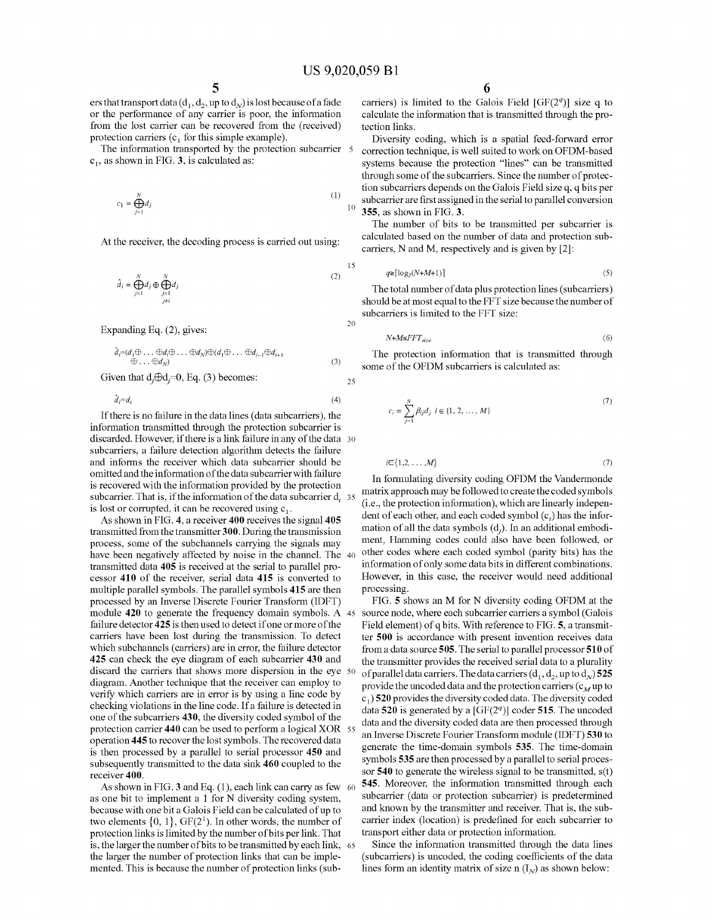ers that transport data ( $d_1$ ,  $d_2$ , up to  $d_N$ ) is lost because of a fade or the perfonnance of any carrier is poor, the infonnation from the lost carrier can be recovered from the (received) protection carriers  $(c_1$  for this simple example).

The information transported by the protection subcarrier 5  $c<sub>1</sub>$ , as shown in FIG. 3, is calculated as:

$$
c_1 = \bigoplus_{j=1}^{N} d_j \tag{1}
$$

At the receiver, the decoding process is carried out using:

$$
\hat{d}_i = \bigoplus_{j=1}^N d_j \oplus \bigoplus_{\substack{j=1 \ j \neq i}}^N d_j \tag{2}
$$

Expanding Eq. (2), gives:

$$
\hat{d}_i = (d_1 \oplus \ldots \oplus d_i \oplus \ldots \oplus d_N) \oplus (d_1 \oplus \ldots \oplus d_{i-1} \oplus d_{i+1} \oplus \ldots \oplus d_1 \oplus \ldots \oplus d_N)
$$
\n(3)

Given that  $d_j \oplus d_j = 0$ , Eq. (3) becomes:

 $\hat{d}_i = d_i$ 

If there is no failure in the data lines (data subcarriers), the information transmitted through the protection subcarrier is discarded. However, if there is a link failure in any of the data 30 subcarriers, a failure detection algorithm detects the failure and infonns the receiver which data subcarrier should be omitted and the information of the data subcarrier with failure is recovered with the information provided by the protection subcarrier. That is, if the information of the data subcarrier d<sub>i</sub> 35 is lost or corrupted, it can be recovered using  $c_1$ .

As shown in FIG. 4, a receiver 400 receives the signal 405 transmitted from the transmitter 300. During the transmission process, some of the subchannels carrying the signals may have been negatively affected by noise in the channel. The 40 transmitted data 405 is received at the serial to parallel processor 410 of the receiver, serial data 415 is converted to multiple parallel symbols. The parallel symbols 415 are then processed by an Inverse Discrete Fourier Transform (IDFT) module 420 to generate the frequency domain symbols. A 45 failure detector 425 is then used to detect if one or more of the carriers have been lost during the transmission. To detect which subchannels (carriers) are in error, the failure detector 425 can check the eye diagram of each subcarrier 430 and discard the carriers that shows more dispersion in the eye 50 diagram. Another technique that the receiver can employ to verifY which carriers are in error is by using a line code by checking violations in the line code. If a failure is detected in one of the subcarriers 430, the diversity coded symbol of the protection carrier 440 can be used to perform a logical XOR 55 operation 445 to recover the lost symbols. The recovered data is then processed by a parallel to serial processor 450 and subsequently transmitted to the data sink 460 coupled to the receiver 400.

As shown in FIG. 3 and Eq. (1), each link can carry as few 60 as one bit to implement a I for N diversity coding system, because with one bit a Galois Field can be calculated of up to two elements  $\{0, 1\}$ , GF(2<sup>1</sup>). In other words, the number of protection links is limited by the number of bits per link. That is, the larger the number of bits to be transmitted by each link, 65 the larger the number of protection links that can be implemented. This is because the number of protection links (sub-

carriers) is limited to the Galois Field [GF(2*<sup>q</sup> )]* size q to calculate the information that is transmitted through the protection links.

Diversity coding, which is a spatial feed-forward error correction technique, is well suited to work on OFDM-based systems because the protection "lines" can be transmitted through some of the subcarriers. Since the number of protection subcarriers depends on the Galois Field size q, q bits per subcarrier are first assigned in the serial to parallel conversion  $10\quad$  355, as shown in FIG. 3.

The number of bits to be transmitted per subcarrier is calculated based on the number of data and protection subcarriers, N and M, respectively and is given by [2]:

$$
15 \t q \ge \lceil \log_2(N+M+1) \rceil \tag{5}
$$

The total number of data plus protection lines (subcarriers) should be at most equal to the FFT size because the number of subcarriers is limited to the FFT size:

$$
H + M \leq FT_{size} \tag{6}
$$

The protection information that is transmitted through some of the OFDM subcarriers is calculated as:

25

(4)

20

$$
c_i = \sum_{j=1}^{N} \beta_{ij} d_j \ i \in \{1, 2, ..., M\}
$$
 (7)

 $i \in \{1, 2, \ldots, M\}$  (7)

In formulating diversity coding OFDM the Vandermonde matrix approach may be followed to create the coded symbols (i.e., the protection infonnation), which are linearly independent of each other, and each coded symbol  $(c_i)$  has the information of all the data symbols (d). In an additional embodiment, Hamming codes could also have been followed, or other codes where each coded symbol (parity bits) has the information of only some data bits in different combinations. However, in this case, the receiver would need additional processing.

FIG. 5 shows an M for N diversity coding OFDM at the source node, where each subcarrier carriers a symbol (Galois Field element) of q bits. With reference to FIG. 5, a transmitter 500 is accordance with present invention receives data from a data source 505. The serial to parallel processor 510 of the transmitter provides the received serial data to a plurality of parallel data carriers. The data carriers  $(d_1, d_2, u_p$  to  $d_N$ ) **525** provide the uncoded data and the protection carriers  $(c_M$  up to  $c_1$ ) 520 provides the diversity coded data. The diversity coded data 520 is generated by a [GF(2*<sup>q</sup> )]* coder 515. The uncoded data and the diversity coded data are then processed through an Inverse Discrete Fourier Transfonn module (IDFT) 530 to generate the time-domain symbols 535. The time-domain symbols 535 are then processed by a parallel to serial processor  $540$  to generate the wireless signal to be transmitted,  $s(t)$ 545. Moreover, the information transmitted through each subcarrier (data or protection subcarrier) is predetermined and known by the transmitter and receiver. That is, the subcarrier index (location) is predefined for each subcarrier to transport either data or protection information.

Since the information transmitted through the data lines (subcarriers) is uncoded, the coding coefficients of the data lines form an identity matrix of size n  $(I<sub>N</sub>)$  as shown below: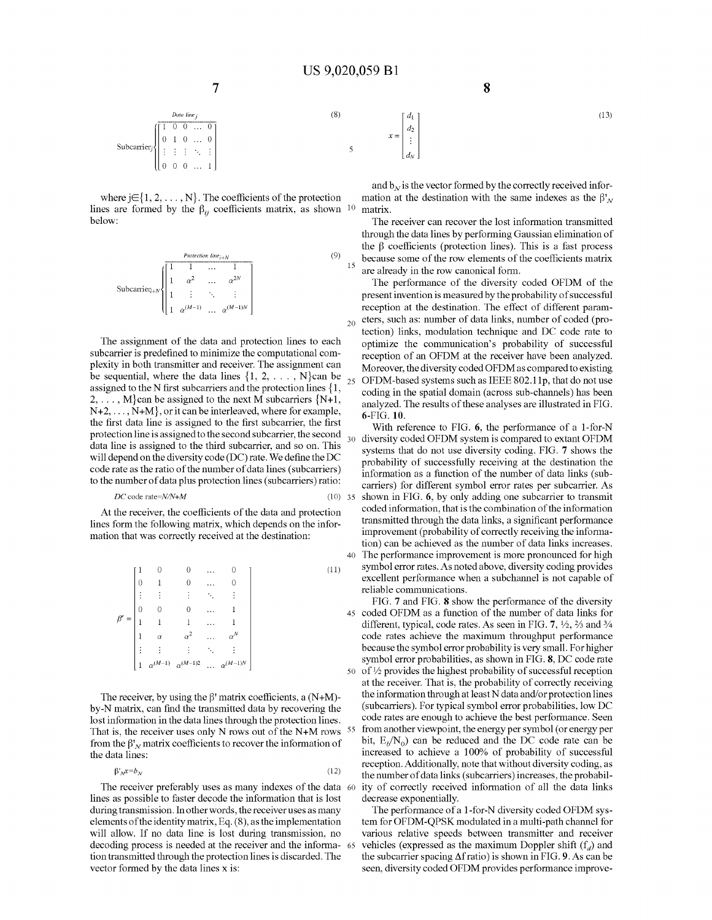40

 $35$ 

 $x=$ 

 $\mathfrak{d}_2$ 

$$
\text{Subcarrier} \begin{bmatrix} \text{Data line}_j \\ 0 & 1 & 0 & \dots & 0 \\ \vdots & \vdots & \vdots & \ddots & \vdots \\ 0 & 0 & 0 & \dots & 1 \end{bmatrix} \tag{8}
$$

where  $j \in \{1, 2, ..., N\}$ . The coefficients of the protection lines are formed by the  $\beta_{ij}$  coefficients matrix, as shown <sup>10</sup> below:

$$
\text{Subcarrier}_{i+N} \begin{pmatrix} \frac{Protection\ line_{i+N}}{1} & & & (9) \\ \frac{1}{1} & \alpha^2 & \dots & \alpha^{2N} \\ \vdots & \vdots & \ddots & \vdots \\ 1 & \alpha^{(M-1)} & \dots & \alpha^{(M-1)N} \end{pmatrix}
$$

The assignment of the data and protection lines to each subcarrier is predefined to minimize the computational complexity in both transmitter and receiver. The assignment can be sequential, where the data lines  $\{1, 2, \ldots, N\}$ can be assigned to the N first subcarriers and the protection lines {I,  $2, \ldots, M$  can be assigned to the next M subcarriers  $\{N+1,$  $N+2, \ldots, N+M$ , or it can be interleaved, where for example, the first data line is assigned to the first subcarrier, the first protection line is assigned to the second subcarrier, the second data line is assigned to the third subcarrier, and so on. This will depend on the diversity code (DC) rate. We define the DC code rate as the ratio of the number of data lines (subcarriers) to the number of data plus protection lines (subcarriers) ratio:

$$
DC \text{ code rate} = N/N + M \tag{10}
$$

At the receiver, the coefficients of the data and protection lines form the following matrix, which depends on the information that was correctly received at the destination:

|          |                |                  |                   | $\cdots$      |                   |    |
|----------|----------------|------------------|-------------------|---------------|-------------------|----|
|          | 0              |                  | $\theta$          | $\cdots$      |                   |    |
|          |                | ÷                | ٠<br>÷            | $\sim$        |                   |    |
|          | $\theta$       |                  | $\overline{0}$    | $\cdots$      |                   |    |
| $\beta'$ |                |                  |                   | $\sim$ $\sim$ |                   |    |
|          | $\mathbf{1}$   | $\alpha$         | $\alpha^2$        | $\cdots$      |                   |    |
|          |                |                  |                   |               |                   |    |
|          | $\overline{1}$ | $\alpha^{(M-1)}$ | $\alpha^{(M-1)2}$ | j.            | $\alpha^{(M-1)N}$ |    |
|          |                |                  |                   |               |                   | 50 |

The receiver, by using the  $\beta'$  matrix coefficients, a  $(N+M)$ by-N matrix, can find the transmitted data by recovering the lost information in the data lines through the protection lines. That is, the receiver uses only N rows out of the N+M rows  $55$ from the  $\beta_N^r$  matrix coefficients to recover the information of the data lines:

$$
\beta'_N x = b_N \tag{12}
$$

The receiver preferably uses as many indexes of the data 60 lines as possible to faster decode the information that is lost during transmission. In otherwords, the receiver uses as many elements of the identity matrix, Eq. (8), as the implementation will allow. If no data line is lost during transmission, no decoding process is needed at the receiver and the informa- 65 tion transmitted through the protection lines is discarded. The vector formed by the data lines x is:

and  $b_N$  is the vector formed by the correctly received information at the destination with the same indexes as the  $\beta_N$ matrix.

The receiver can recover the lost information transmitted through the data lines by performing Gaussian elimination of the  $\beta$  coefficients (protection lines). This is a fast process because some of the row elements of the coefficients matrix are already in the row canonical form.

The performance of the diversity coded OFDM of the present invention is measured by the probability of successful reception at the destination. The effect of different parameters, such as: number of data links, number of coded (protection) links, modulation technique and DC code rate to optimize the communication's probability of successful reception of an OFDM at the receiver have been analyzed. Moreover, the diversity coded OFDM as compared to existing 25 OFDM-based systems such as IEEE 802.llp, that do not use coding in the spatial domain (across sub-channels) has been analyzed. The results of these analyses are illustrated in FIG. 6-FIG.10.

With reference to FIG. 6, the performance of a I-for-N 30 diversity coded OFDM system is compared to extant OFDM systems that do not use diversity coding. FIG. 7 shows the probability of successfully receiving at the destination the information as a function of the number of data links (subcarriers) for different symbol error rates per subcarrier. As shown in FIG. 6, by only adding one subcarrier to transmit coded information, that is the combination of the information transmitted through the data links, a significant performance improvement (probability of correctly receiving the information) can be achieved as the number of data links increases. The performance improvement is more pronounced for high symbol error rates. As noted above, diversity coding provides excellent performance when a subchannel is not capable of reliable communications.

FIG. 7 and FIG. 8 show the performance of the diversity coded OFDM as a function of the number of data links for different, typical, code rates. As seen in FIG. 7,  $\frac{1}{2}$ ,  $\frac{2}{3}$  and  $\frac{3}{4}$ code rates achieve the maximum throughput performance because the symbol error probability is very small. For higher symbol error probabilities, as shown in FIG. 8, DC code rate 50 of  $\frac{1}{2}$  provides the highest probability of successful reception at the receiver. That is, the probability of correctly receiving the information through at least N data and/or protection lines (subcarriers). For typical symbol error probabilities, low DC code rates are enough to achieve the best performance. Seen from another viewpoint, the energy per symbol (or energy per bit,  $E_b/N_0$  can be reduced and the DC code rate can be increased to achieve a 100% of probability of successful reception. Additionally, note that without diversity coding, as the number of data links (subcarriers) increases, the probability of correctly received information of all the data links decrease exponentially.

The performance of a 1-for-N diversity coded OFDM system for OFDM-QPSK modulated in a multi-path channel for various relative speeds between transmitter and receiver vehicles (expressed as the maximum Doppler shift  $(f_d)$  and the subcarrier spacing  $\Delta f$  ratio) is shown in FIG. 9. As can be seen, diversity coded OFDM provides performance improve-

(13)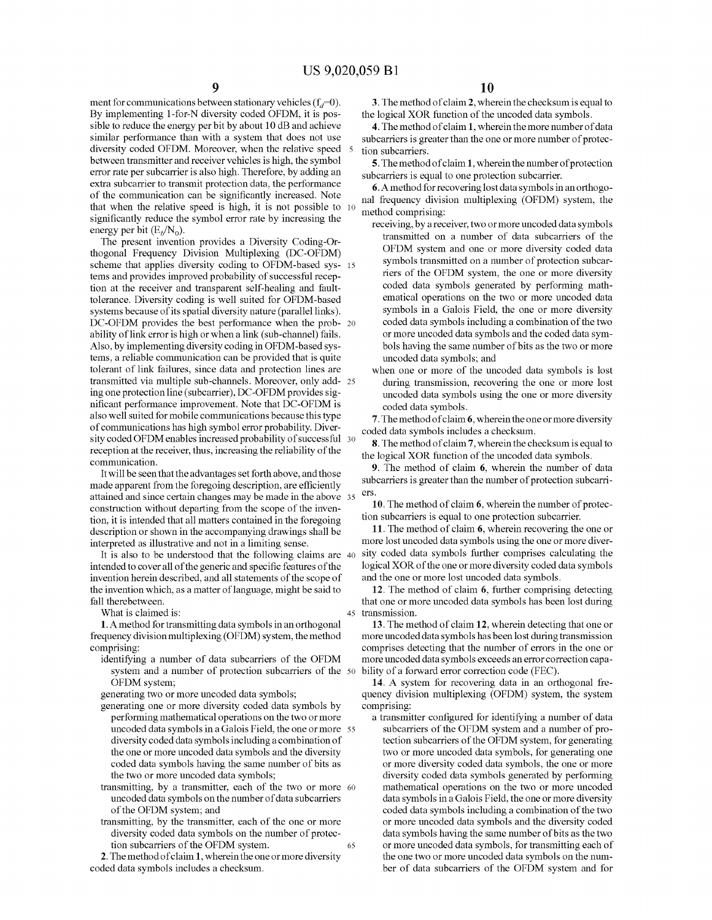ment for communications between stationary vehicles ( $f_d=0$ ). By implementing I-for-N diversity coded OFDM, it is possible to reduce the energy per bit by about 10 dB and achieve similar performance than with a system that does not use diversity coded OFDM. Moreover, when the relative speed between transmitter and receiver vehicles is high, the symbol error rate per subcarrier is also high. Therefore, by adding an extra subcarrier to transmit protection data, the performance of the communication can be significantly increased. Note that when the relative speed is high, it is not possible to 10 significantly reduce the symbol error rate by increasing the energy per bit  $(E_b/N_0)$ .

The present invention provides a Diversity Coding-Orthogonal Frequency Division Multiplexing (DC-OFDM) scheme that applies diversity coding to OFDM-based sys- 15 tems and provides improved probability of successful reception at the receiver and transparent self-healing and faulttolerance. Diversity coding is well suited for OFDM-based systems because of its spatial diversity nature (parallel links). DC-OFDM provides the best performance when the prob- 20 ability of link error is high or when a link (sub-channel) fails. Also, by implementing diversity coding in OFDM-based systems, a reliable communication can be provided that is quite tolerant of link failures, since data and protection lines are transmitted via multiple sub-channels. Moreover, only add- 25 ing one protection line (subcarrier), DC-OFDM provides significant perfonnance improvement. Note that DC-OFDM is also well suited for mobile communications because this type of communications has high symbol error probability. Diversity coded OFDM enables increased probability of successful 30 reception at the receiver, thus, increasing the reliability of the communication.

Itwill be seen that the advantages set forth above, and those made apparent from the foregoing description, are efficiently attained and since certain changes may be made in the above 35 construction without departing from the scope of the invention, it is intended that all matters contained in the foregoing description or shown in the accompanying drawings shall be interpreted as illustrative and not in a limiting sense.

It is also to be understood that the following claims are <sup>40</sup> intended to cover all of the generic and specific features of the invention herein described, and all statements of the scope of the invention which, as a matter of language, might be said to fall therebetween.

What is claimed is:

1. A method for transmitting data symbols in an orthogonal frequency divisionmultiplexing (OFDM) system, the method comprising:

identifying a number of data subcarriers of the OFDM system and a number of protection subcarriers of the <sup>50</sup> OFDM system;

generating two or more uncoded data symbols;

- generating one or more diversity coded data symbols by perfonning mathematical operations on the two ormore uncoded data symbols in a Galois Field, the one ormore 55 diversity coded data symbols including a combination of the one or more uncoded data symbols and the diversity coded data symbols having the same number of bits as the two or more uncoded data symbols;
- transmitting, by a transmitter, each of the two or more <sup>60</sup> uncoded data symbols on the number of data subcarriers ofthe OFDM system; and
- 65 transmitting, by the transmitter, each of the one or more diversity coded data symbols on the number of protection subcarriers of the OFDM system.

2. The method of claim 1, wherein the one or more diversity coded data symbols includes a checksum.

3. The method of claim 2, wherein the checksum is equal to the logical XOR function of the uncoded data symbols.

4. The method of claim 1, wherein the more number of data subcarriers is greater than the one or more number of protection subcarriers.

5. The method of claim 1, wherein the number of protection subcarriers is equal to one protection subcarrier.

6. A method for recovering lost data symbols in an orthogonal frequency division multiplexing (OFDM) system, the method comprising:

- receiving, by a receiver, two ormore uncoded data symbols transmitted on a number of data subcarriers of the OFDM system and one or more diversity coded data symbols transmitted on a number of protection subcarriers of the OFDM system, the one or more diversity coded data symbols generated by performing mathematical operations on the two or more uncoded data symbols in a Galois Field, the one or more diversity coded data symbols including a combination of the two or more nncoded data symbols and the coded data symbols having the same number of bits as the two or more uncoded data symbols; and
- when one or more of the uncoded data symbols is lost during transmission, recovering the one or more lost uncoded data symbols using the one or more diversity coded data symbols.

7. The method of claim 6, wherein the one or more diversity coded data symbols includes a checksum.

8. The method of claim 7, wherein the checksum is equal to the logical XOR function of the uncoded data symbols.

9. The method of claim 6, wherein the number of data subcarriers is greater than the number of protection subcarriers.

10. The method of claim 6, wherein the number of protection subcarriers is equal to one protection subcarrier.

11. The method of claim 6, wherein recovering the one or more lost uncoded data symbols using the one or more diversity coded data symbols further comprises calculating the logical XOR of the one or more diversity coded data symbols and the one or more lost uncoded data symbols.

12. The method of claim 6, further comprising detecting that one or more uncoded data symbols has been lost during 45 transmission.

13. The method of claim 12, wherein detecting that one or more uncoded data symbols has been lost during transmission comprises detecting that the number of errors in the one or more uncoded data symbols exceeds an error correction capability of a forward error correction code (FEC).

14. A system for recovering data in an orthogonal frequency division multiplexing (OFDM) system, the system comprising:

a transmitter configured for identifying a number of data subcarriers of the OFDM system and a number of protection subcarriers of the OFDM system, for generating two or more uncoded data symbols, for generating one or more diversity coded data symbols, the one or more diversity coded data symbols generated by perfonning mathematical operations on the two or more uncoded data symbols in a Galois Field, the one or more diversity coded data symbols including a combination of the two or more nncoded data symbols and the diversity coded data symbols having the same number of bits as the two or more uncoded data symbols, for transmitting each of the one two or more uncoded data symbols on the number of data subcarriers of the OFDM system and for